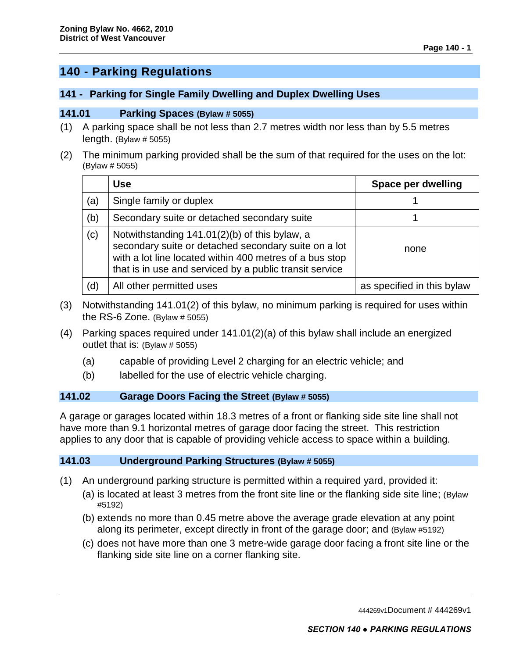# **140 - Parking Regulations**

### **141 - Parking for Single Family Dwelling and Duplex Dwelling Uses**

#### **141.01 Parking Spaces (Bylaw # 5055)**

- (1) A parking space shall be not less than 2.7 metres width nor less than by 5.5 metres length. (Bylaw  $# 5055$ )
- (2) The minimum parking provided shall be the sum of that required for the uses on the lot: (Bylaw # 5055)

|     | <b>Use</b>                                                                                                                                                                                                                  | Space per dwelling         |
|-----|-----------------------------------------------------------------------------------------------------------------------------------------------------------------------------------------------------------------------------|----------------------------|
| (a) | Single family or duplex                                                                                                                                                                                                     |                            |
| (b) | Secondary suite or detached secondary suite                                                                                                                                                                                 |                            |
| (c) | Notwithstanding 141.01(2)(b) of this bylaw, a<br>secondary suite or detached secondary suite on a lot<br>with a lot line located within 400 metres of a bus stop<br>that is in use and serviced by a public transit service | none                       |
| (d) | All other permitted uses                                                                                                                                                                                                    | as specified in this bylaw |

- (3) Notwithstanding 141.01(2) of this bylaw, no minimum parking is required for uses within the RS-6 Zone. (Bylaw  $# 5055$ )
- (4) Parking spaces required under 141.01(2)(a) of this bylaw shall include an energized outlet that is: (Bylaw # 5055)
	- (a) capable of providing Level 2 charging for an electric vehicle; and
	- (b) labelled for the use of electric vehicle charging.

#### **141.02 Garage Doors Facing the Street (Bylaw # 5055)**

A garage or garages located within 18.3 metres of a front or flanking side site line shall not have more than 9.1 horizontal metres of garage door facing the street. This restriction applies to any door that is capable of providing vehicle access to space within a building.

#### **141.03 Underground Parking Structures (Bylaw # 5055)**

- (1) An underground parking structure is permitted within a required yard, provided it:
	- (a) is located at least 3 metres from the front site line or the flanking side site line; (Bylaw #5192)
	- (b) extends no more than 0.45 metre above the average grade elevation at any point along its perimeter, except directly in front of the garage door; and (Bylaw #5192)
	- (c) does not have more than one 3 metre-wide garage door facing a front site line or the flanking side site line on a corner flanking site.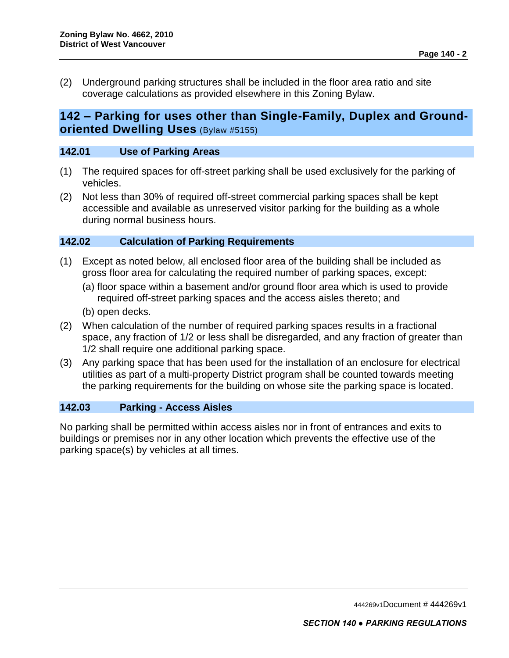(2) Underground parking structures shall be included in the floor area ratio and site coverage calculations as provided elsewhere in this Zoning Bylaw.

## **142 – Parking for uses other than Single-Family, Duplex and Groundoriented Dwelling Uses** (Bylaw #5155)

### **142.01 Use of Parking Areas**

- (1) The required spaces for off-street parking shall be used exclusively for the parking of vehicles.
- (2) Not less than 30% of required off-street commercial parking spaces shall be kept accessible and available as unreserved visitor parking for the building as a whole during normal business hours.

## **142.02 Calculation of Parking Requirements**

- (1) Except as noted below, all enclosed floor area of the building shall be included as gross floor area for calculating the required number of parking spaces, except:
	- (a) floor space within a basement and/or ground floor area which is used to provide required off-street parking spaces and the access aisles thereto; and
	- (b) open decks.
- (2) When calculation of the number of required parking spaces results in a fractional space, any fraction of 1/2 or less shall be disregarded, and any fraction of greater than 1/2 shall require one additional parking space.
- (3) Any parking space that has been used for the installation of an enclosure for electrical utilities as part of a multi-property District program shall be counted towards meeting the parking requirements for the building on whose site the parking space is located.

## **142.03 Parking - Access Aisles**

No parking shall be permitted within access aisles nor in front of entrances and exits to buildings or premises nor in any other location which prevents the effective use of the parking space(s) by vehicles at all times.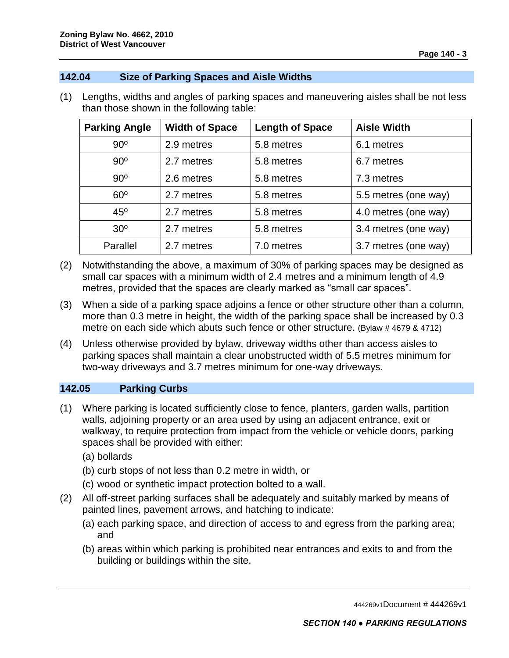#### **142.04 Size of Parking Spaces and Aisle Widths**

(1) Lengths, widths and angles of parking spaces and maneuvering aisles shall be not less than those shown in the following table:

| <b>Parking Angle</b> | <b>Width of Space</b> | <b>Length of Space</b> | <b>Aisle Width</b>   |
|----------------------|-----------------------|------------------------|----------------------|
| $90^{\circ}$         | 2.9 metres            | 5.8 metres             | 6.1 metres           |
| $90^{\circ}$         | 2.7 metres            | 5.8 metres             | 6.7 metres           |
| $90^{\circ}$         | 2.6 metres            | 5.8 metres             | 7.3 metres           |
| $60^\circ$           | 2.7 metres            | 5.8 metres             | 5.5 metres (one way) |
| $45^{\circ}$         | 2.7 metres            | 5.8 metres             | 4.0 metres (one way) |
| 30 <sup>o</sup>      | 2.7 metres            | 5.8 metres             | 3.4 metres (one way) |
| Parallel             | 2.7 metres            | 7.0 metres             | 3.7 metres (one way) |

- (2) Notwithstanding the above, a maximum of 30% of parking spaces may be designed as small car spaces with a minimum width of 2.4 metres and a minimum length of 4.9 metres, provided that the spaces are clearly marked as "small car spaces".
- (3) When a side of a parking space adjoins a fence or other structure other than a column, more than 0.3 metre in height, the width of the parking space shall be increased by 0.3 metre on each side which abuts such fence or other structure. (Bylaw # 4679 & 4712)
- (4) Unless otherwise provided by bylaw, driveway widths other than access aisles to parking spaces shall maintain a clear unobstructed width of 5.5 metres minimum for two-way driveways and 3.7 metres minimum for one-way driveways.

## **142.05 Parking Curbs**

- (1) Where parking is located sufficiently close to fence, planters, garden walls, partition walls, adjoining property or an area used by using an adjacent entrance, exit or walkway, to require protection from impact from the vehicle or vehicle doors, parking spaces shall be provided with either:
	- (a) bollards
	- (b) curb stops of not less than 0.2 metre in width, or
	- (c) wood or synthetic impact protection bolted to a wall.
- (2) All off-street parking surfaces shall be adequately and suitably marked by means of painted lines, pavement arrows, and hatching to indicate:
	- (a) each parking space, and direction of access to and egress from the parking area; and
	- (b) areas within which parking is prohibited near entrances and exits to and from the building or buildings within the site.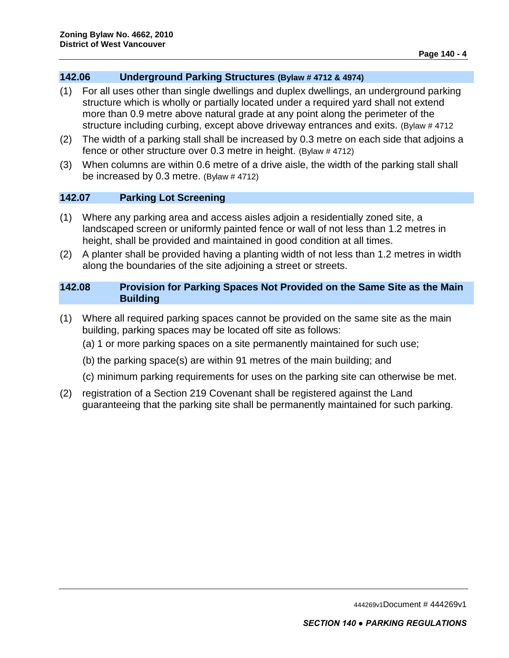### **142.06 Underground Parking Structures (Bylaw # 4712 & 4974)**

- (1) For all uses other than single dwellings and duplex dwellings, an underground parking structure which is wholly or partially located under a required yard shall not extend more than 0.9 metre above natural grade at any point along the perimeter of the structure including curbing, except above driveway entrances and exits. (Bylaw # 4712
- (2) The width of a parking stall shall be increased by 0.3 metre on each side that adjoins a fence or other structure over 0.3 metre in height. (Bylaw # 4712)
- (3) When columns are within 0.6 metre of a drive aisle, the width of the parking stall shall be increased by 0.3 metre. (Bylaw # 4712)

## **142.07 Parking Lot Screening**

- (1) Where any parking area and access aisles adjoin a residentially zoned site, a landscaped screen or uniformly painted fence or wall of not less than 1.2 metres in height, shall be provided and maintained in good condition at all times.
- (2) A planter shall be provided having a planting width of not less than 1.2 metres in width along the boundaries of the site adjoining a street or streets.

### **142.08 Provision for Parking Spaces Not Provided on the Same Site as the Main Building**

- (1) Where all required parking spaces cannot be provided on the same site as the main building, parking spaces may be located off site as follows:
	- (a) 1 or more parking spaces on a site permanently maintained for such use;
	- (b) the parking space(s) are within 91 metres of the main building; and
	- (c) minimum parking requirements for uses on the parking site can otherwise be met.
- (2) registration of a Section 219 Covenant shall be registered against the Land guaranteeing that the parking site shall be permanently maintained for such parking.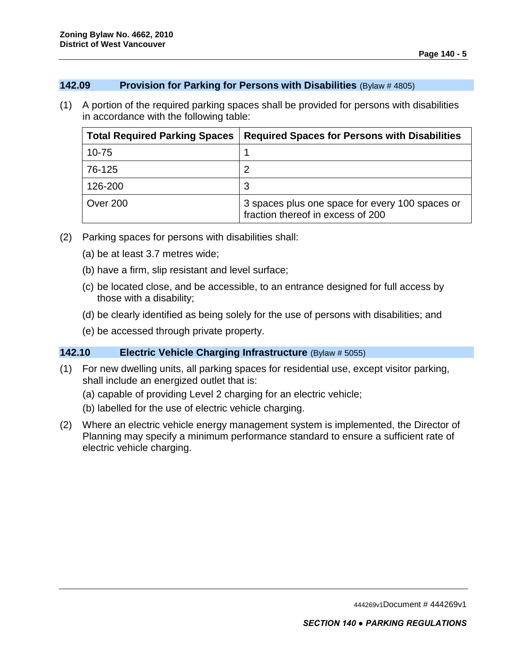#### **142.09 Provision for Parking for Persons with Disabilities** (Bylaw # 4805)

(1) A portion of the required parking spaces shall be provided for persons with disabilities in accordance with the following table:

| <b>Total Required Parking Spaces</b> | <b>Required Spaces for Persons with Disabilities</b>                                 |
|--------------------------------------|--------------------------------------------------------------------------------------|
| $10 - 75$                            |                                                                                      |
| 76-125                               |                                                                                      |
| 126-200                              |                                                                                      |
| Over 200                             | 3 spaces plus one space for every 100 spaces or<br>fraction thereof in excess of 200 |

- (2) Parking spaces for persons with disabilities shall:
	- (a) be at least 3.7 metres wide;
	- (b) have a firm, slip resistant and level surface;
	- (c) be located close, and be accessible, to an entrance designed for full access by those with a disability;
	- (d) be clearly identified as being solely for the use of persons with disabilities; and
	- (e) be accessed through private property.

## **142.10 Electric Vehicle Charging Infrastructure** (Bylaw # 5055)

- (1) For new dwelling units, all parking spaces for residential use, except visitor parking, shall include an energized outlet that is:
	- (a) capable of providing Level 2 charging for an electric vehicle;
	- (b) labelled for the use of electric vehicle charging.
- (2) Where an electric vehicle energy management system is implemented, the Director of Planning may specify a minimum performance standard to ensure a sufficient rate of electric vehicle charging.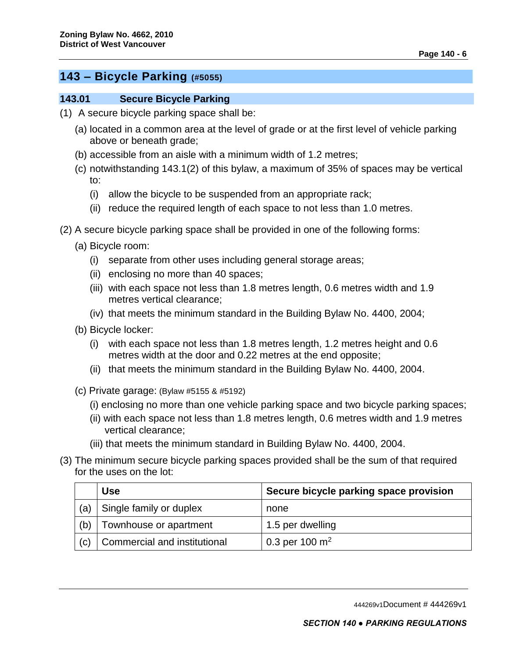## **143 – Bicycle Parking (#5055)**

#### **143.01 Secure Bicycle Parking**

- (1) A secure bicycle parking space shall be:
	- (a) located in a common area at the level of grade or at the first level of vehicle parking above or beneath grade;
	- (b) accessible from an aisle with a minimum width of 1.2 metres;
	- (c) notwithstanding 143.1(2) of this bylaw, a maximum of 35% of spaces may be vertical to:
		- (i) allow the bicycle to be suspended from an appropriate rack;
		- (ii) reduce the required length of each space to not less than 1.0 metres.
- (2) A secure bicycle parking space shall be provided in one of the following forms:
	- (a) Bicycle room:
		- (i) separate from other uses including general storage areas;
		- (ii) enclosing no more than 40 spaces;
		- (iii) with each space not less than 1.8 metres length, 0.6 metres width and 1.9 metres vertical clearance;
		- (iv) that meets the minimum standard in the Building Bylaw No. 4400, 2004;
	- (b) Bicycle locker:
		- (i) with each space not less than 1.8 metres length, 1.2 metres height and 0.6 metres width at the door and 0.22 metres at the end opposite;
		- (ii) that meets the minimum standard in the Building Bylaw No. 4400, 2004.
	- (c) Private garage: (Bylaw #5155 & #5192)
		- (i) enclosing no more than one vehicle parking space and two bicycle parking spaces;
		- (ii) with each space not less than 1.8 metres length, 0.6 metres width and 1.9 metres vertical clearance;
		- (iii) that meets the minimum standard in Building Bylaw No. 4400, 2004.
- (3) The minimum secure bicycle parking spaces provided shall be the sum of that required for the uses on the lot:

|     | <b>Use</b>                   | Secure bicycle parking space provision |
|-----|------------------------------|----------------------------------------|
| (a) | Single family or duplex      | none                                   |
| (b) | Townhouse or apartment       | 1.5 per dwelling                       |
| (c) | Commercial and institutional | 0.3 per 100 $\rm m^2$                  |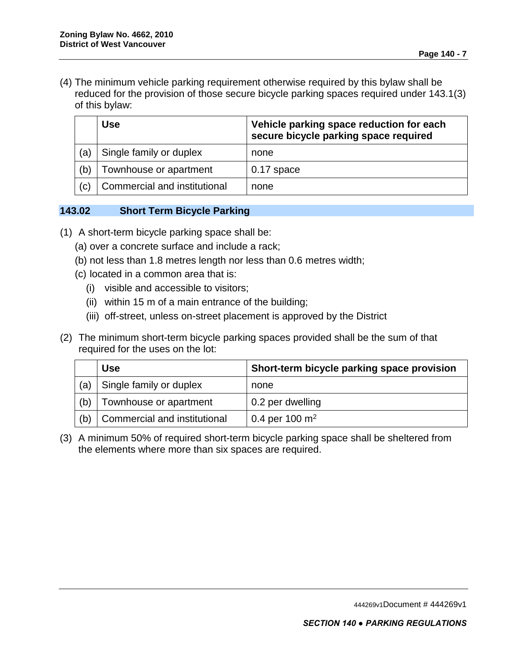(4) The minimum vehicle parking requirement otherwise required by this bylaw shall be reduced for the provision of those secure bicycle parking spaces required under 143.1(3) of this bylaw:

|     | <b>Use</b>                   | Vehicle parking space reduction for each<br>secure bicycle parking space required |
|-----|------------------------------|-----------------------------------------------------------------------------------|
| (a) | Single family or duplex      | none                                                                              |
| (b) | Townhouse or apartment       | $0.17$ space                                                                      |
| (c) | Commercial and institutional | none                                                                              |

## **143.02 Short Term Bicycle Parking**

- (1) A short-term bicycle parking space shall be:
	- (a) over a concrete surface and include a rack;
	- (b) not less than 1.8 metres length nor less than 0.6 metres width;
	- (c) located in a common area that is:
		- (i) visible and accessible to visitors;
		- (ii) within 15 m of a main entrance of the building;
		- (iii) off-street, unless on-street placement is approved by the District
- (2) The minimum short-term bicycle parking spaces provided shall be the sum of that required for the uses on the lot:

|     | <b>Use</b>                   | Short-term bicycle parking space provision |
|-----|------------------------------|--------------------------------------------|
| (a) | Single family or duplex      | none                                       |
| (b) | Townhouse or apartment       | 0.2 per dwelling                           |
| (b) | Commercial and institutional | 0.4 per 100 $\rm m^2$                      |

(3) A minimum 50% of required short-term bicycle parking space shall be sheltered from the elements where more than six spaces are required.